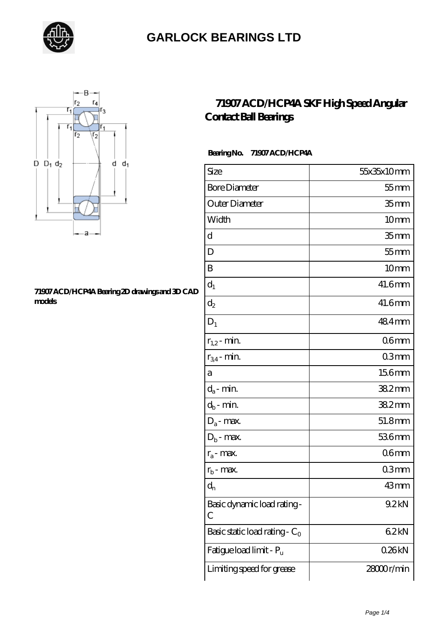



#### **[71907 ACD/HCP4A Bearing 2D drawings and 3D CAD](https://letterstopriests.com/pic-935134.html) [models](https://letterstopriests.com/pic-935134.html)**

### **[71907 ACD/HCP4A SKF High Speed Angular](https://letterstopriests.com/skf-bearing/71907-acd-hcp4a.html) [Contact Ball Bearings](https://letterstopriests.com/skf-bearing/71907-acd-hcp4a.html)**

### **Bearing No. 71907 ACD/HCP4A**

| Size                             | 55x35x10mm       |
|----------------------------------|------------------|
| <b>Bore Diameter</b>             | $55$ mm          |
| Outer Diameter                   | 35 <sub>mm</sub> |
| Width                            | 10mm             |
| d                                | 35 <sub>mm</sub> |
| D                                | $55$ mm          |
| B                                | 10 <sub>mm</sub> |
| $d_1$                            | 41.6mm           |
| $\mathrm{d}_2$                   | 41.6mm           |
| $D_1$                            | 484mm            |
| $r_{1,2}$ - min.                 | 06 <sub>mm</sub> |
| $r_{34}$ - min.                  | 03 <sub>mm</sub> |
| а                                | 156mm            |
| $d_a$ - min.                     | 382mm            |
| $d_b$ - min.                     | 382mm            |
| $D_a$ - max.                     | 51.8mm           |
| $D_b$ - max.                     | 536mm            |
| $r_a$ - max.                     | 06 <sub>mm</sub> |
| $r_{b}$ - max.                   | 03mm             |
| $d_{n}$                          | 43mm             |
| Basic dynamic load rating-<br>С  | 9.2kN            |
| Basic static load rating - $C_0$ | 62kN             |
| Fatigue load limit - Pu          | 026kN            |
| Limiting speed for grease        | 28000r/min       |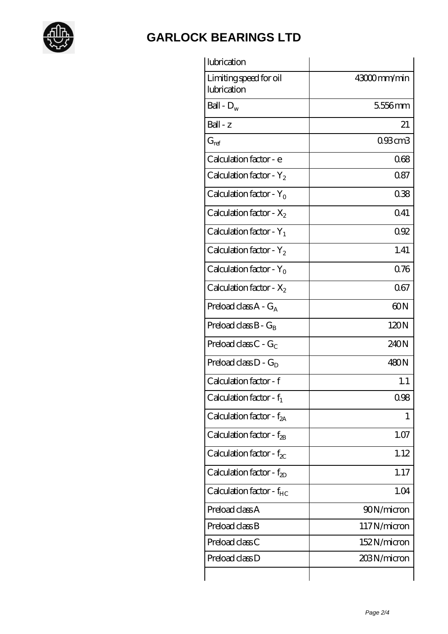

| lubrication                           |             |
|---------------------------------------|-------------|
| Limiting speed for oil<br>lubrication | 43000mm/min |
| Ball - $D_w$                          | 5556mm      |
| $Ball - z$                            | 21          |
| $G_{ref}$                             | 093cm3      |
| Calculation factor - e                | 068         |
| Calculation factor - $Y_2$            | 0.87        |
| Calculation factor - $Y_0$            | 038         |
| Calculation factor - $X_2$            | Q41         |
| Calculation factor - $Y_1$            | 092         |
| Calculation factor - $Y_2$            | 1.41        |
| Calculation factor - $Y_0$            | 076         |
| Calculation factor - $X_2$            | 067         |
| Preload class $A - G_A$               | 60N         |
| Preload class $B - G_B$               | 120N        |
| Preload class $C - G_C$               | 240N        |
| Preload class $D - G_D$               | 480N        |
| Calculation factor - f                | 1.1         |
| Calculation factor - $f_1$            | 0.98        |
| Calculation factor - $f_{2A}$         | 1           |
| Calculation factor - $f_{2B}$         | 1.07        |
| Calculation factor - $f_{\chi}$       | 1.12        |
| Calculation factor - $f_{2D}$         | 1.17        |
| Calculation factor - $f_{HC}$         | 1.04        |
| Preload class A                       | 90N/micron  |
| Preload class B                       | 117N/micron |
| Preload class C                       | 152N/micron |
| Preload class D                       | 203N/micron |
|                                       |             |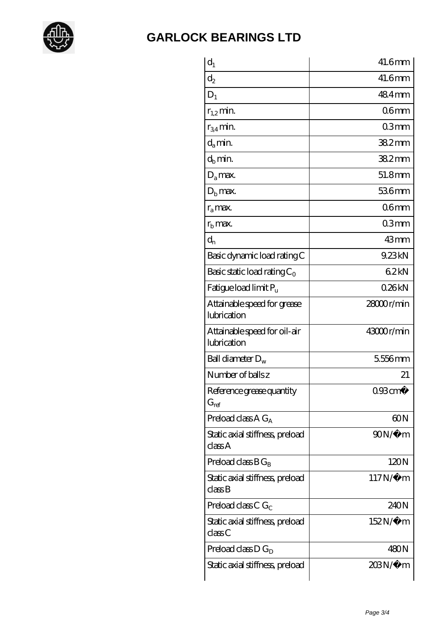

| $d_1$                                       | 41.6mm                |
|---------------------------------------------|-----------------------|
| $\mathrm{d}_2$                              | $41.6$ mm             |
| $D_1$                                       | 484mm                 |
| $r_{1,2}$ min.                              | 06 <sub>mm</sub>      |
| $r_{34}$ min.                               | 03mm                  |
| $d_{a}$ min.                                | $382$ mm              |
| $d_h$ min.                                  | 38.2mm                |
| $D_a$ max.                                  | 51.8mm                |
| $D_{b}$ max.                                | 536mm                 |
| $r_a$ max.                                  | 06 <sub>mm</sub>      |
| $rb$ max.                                   | 03mm                  |
| $d_{n}$                                     | 43mm                  |
| Basic dynamic load rating C                 | 9.23kN                |
| Basic static load rating $C_0$              | 62kN                  |
| Fatigue load limit P <sub>u</sub>           | 026kN                 |
| Attainable speed for grease<br>lubrication  | 28000r/min            |
| Attainable speed for oil-air<br>lubrication | 43000r/min            |
| Ball diameter $D_w$                         | 5556mm                |
| Number of balls z                           | 21                    |
| Reference grease quantity<br>$G_{ref}$      | $093$ cm <sup>3</sup> |
| Preload class $AG_A$                        | 60N                   |
| Static axial stiffness, preload<br>classA   | $90N/\mu$ m           |
| Preload class $BG_R$                        | 120N                  |
| Static axial stiffness, preload<br>classB   | $117N/\mu$ m          |
| Preload class C $G_C$                       | 240N                  |
| Static axial stiffness, preload<br>classC   | 152N/μ m              |
| Preload class $D G_D$                       | 480N                  |
| Static axial stiffness, preload             | 203N/µ m              |